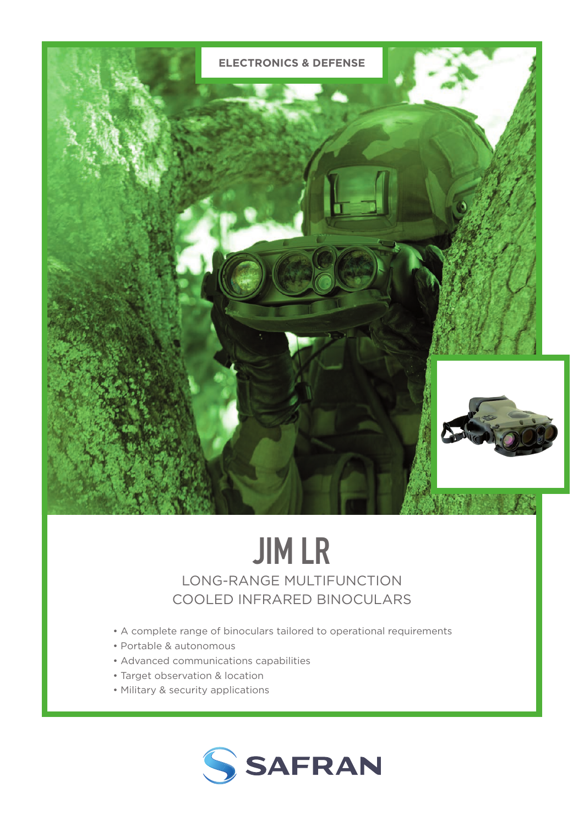

# JIM LR

LONG-RANGE MULTIFUNCTION COOLED INFRARED BINOCULARS

- A complete range of binoculars tailored to operational requirements
- Portable & autonomous
- Advanced communications capabilities
- Target observation & location
- Military & security applications